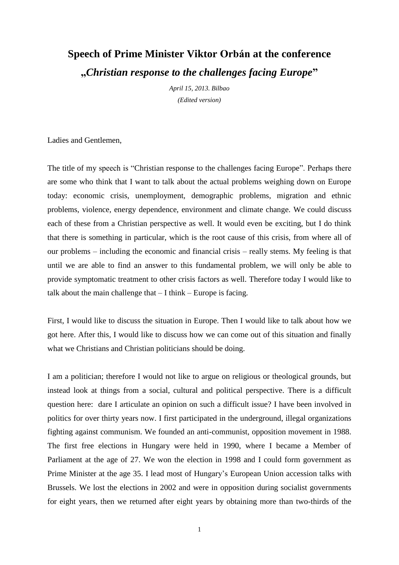## **Speech of Prime Minister Viktor Orbán at the conference "***Christian response to the challenges facing Europe***"**

*April 15, 2013. Bilbao (Edited version)*

Ladies and Gentlemen,

The title of my speech is "Christian response to the challenges facing Europe". Perhaps there are some who think that I want to talk about the actual problems weighing down on Europe today: economic crisis, unemployment, demographic problems, migration and ethnic problems, violence, energy dependence, environment and climate change. We could discuss each of these from a Christian perspective as well. It would even be exciting, but I do think that there is something in particular, which is the root cause of this crisis, from where all of our problems – including the economic and financial crisis – really stems. My feeling is that until we are able to find an answer to this fundamental problem, we will only be able to provide symptomatic treatment to other crisis factors as well. Therefore today I would like to talk about the main challenge that  $-$  I think  $-$  Europe is facing.

First, I would like to discuss the situation in Europe. Then I would like to talk about how we got here. After this, I would like to discuss how we can come out of this situation and finally what we Christians and Christian politicians should be doing.

I am a politician; therefore I would not like to argue on religious or theological grounds, but instead look at things from a social, cultural and political perspective. There is a difficult question here: dare I articulate an opinion on such a difficult issue? I have been involved in politics for over thirty years now. I first participated in the underground, illegal organizations fighting against communism. We founded an anti-communist, opposition movement in 1988. The first free elections in Hungary were held in 1990, where I became a Member of Parliament at the age of 27. We won the election in 1998 and I could form government as Prime Minister at the age 35. I lead most of Hungary's European Union accession talks with Brussels. We lost the elections in 2002 and were in opposition during socialist governments for eight years, then we returned after eight years by obtaining more than two-thirds of the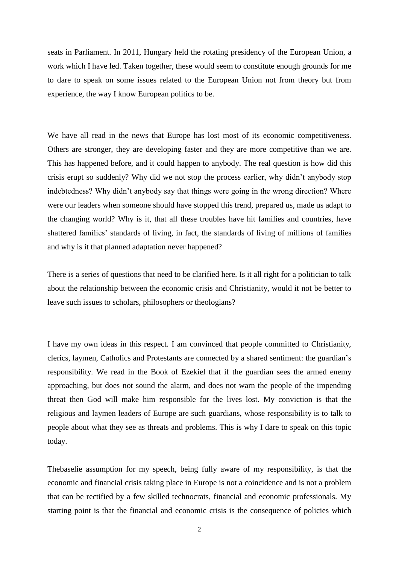seats in Parliament. In 2011, Hungary held the rotating presidency of the European Union, a work which I have led. Taken together, these would seem to constitute enough grounds for me to dare to speak on some issues related to the European Union not from theory but from experience, the way I know European politics to be.

We have all read in the news that Europe has lost most of its economic competitiveness. Others are stronger, they are developing faster and they are more competitive than we are. This has happened before, and it could happen to anybody. The real question is how did this crisis erupt so suddenly? Why did we not stop the process earlier, why didn't anybody stop indebtedness? Why didn't anybody say that things were going in the wrong direction? Where were our leaders when someone should have stopped this trend, prepared us, made us adapt to the changing world? Why is it, that all these troubles have hit families and countries, have shattered families' standards of living, in fact, the standards of living of millions of families and why is it that planned adaptation never happened?

There is a series of questions that need to be clarified here. Is it all right for a politician to talk about the relationship between the economic crisis and Christianity, would it not be better to leave such issues to scholars, philosophers or theologians?

I have my own ideas in this respect. I am convinced that people committed to Christianity, clerics, laymen, Catholics and Protestants are connected by a shared sentiment: the guardian's responsibility. We read in the Book of Ezekiel that if the guardian sees the armed enemy approaching, but does not sound the alarm, and does not warn the people of the impending threat then God will make him responsible for the lives lost. My conviction is that the religious and laymen leaders of Europe are such guardians, whose responsibility is to talk to people about what they see as threats and problems. This is why I dare to speak on this topic today.

Thebaselie assumption for my speech, being fully aware of my responsibility, is that the economic and financial crisis taking place in Europe is not a coincidence and is not a problem that can be rectified by a few skilled technocrats, financial and economic professionals. My starting point is that the financial and economic crisis is the consequence of policies which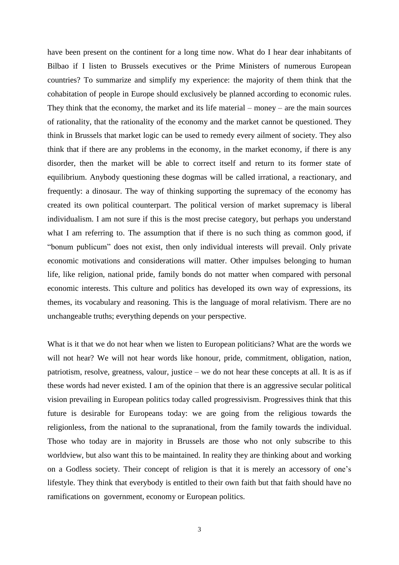have been present on the continent for a long time now. What do I hear dear inhabitants of Bilbao if I listen to Brussels executives or the Prime Ministers of numerous European countries? To summarize and simplify my experience: the majority of them think that the cohabitation of people in Europe should exclusively be planned according to economic rules. They think that the economy, the market and its life material – money – are the main sources of rationality, that the rationality of the economy and the market cannot be questioned. They think in Brussels that market logic can be used to remedy every ailment of society. They also think that if there are any problems in the economy, in the market economy, if there is any disorder, then the market will be able to correct itself and return to its former state of equilibrium. Anybody questioning these dogmas will be called irrational, a reactionary, and frequently: a dinosaur. The way of thinking supporting the supremacy of the economy has created its own political counterpart. The political version of market supremacy is liberal individualism. I am not sure if this is the most precise category, but perhaps you understand what I am referring to. The assumption that if there is no such thing as common good, if "bonum publicum" does not exist, then only individual interests will prevail. Only private economic motivations and considerations will matter. Other impulses belonging to human life, like religion, national pride, family bonds do not matter when compared with personal economic interests. This culture and politics has developed its own way of expressions, its themes, its vocabulary and reasoning. This is the language of moral relativism. There are no unchangeable truths; everything depends on your perspective.

What is it that we do not hear when we listen to European politicians? What are the words we will not hear? We will not hear words like honour, pride, commitment, obligation, nation, patriotism, resolve, greatness, valour, justice – we do not hear these concepts at all. It is as if these words had never existed. I am of the opinion that there is an aggressive secular political vision prevailing in European politics today called progressivism. Progressives think that this future is desirable for Europeans today: we are going from the religious towards the religionless, from the national to the supranational, from the family towards the individual. Those who today are in majority in Brussels are those who not only subscribe to this worldview, but also want this to be maintained. In reality they are thinking about and working on a Godless society. Their concept of religion is that it is merely an accessory of one's lifestyle. They think that everybody is entitled to their own faith but that faith should have no ramifications on government, economy or European politics.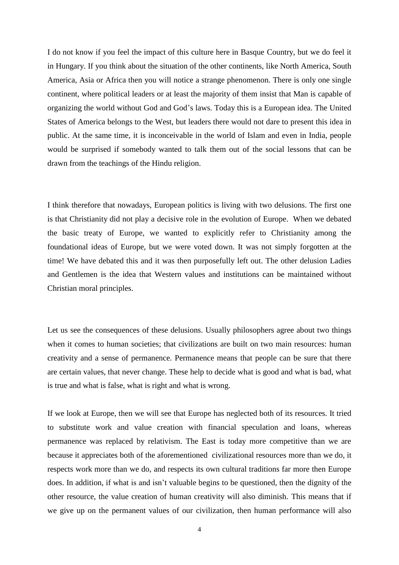I do not know if you feel the impact of this culture here in Basque Country, but we do feel it in Hungary. If you think about the situation of the other continents, like North America, South America, Asia or Africa then you will notice a strange phenomenon. There is only one single continent, where political leaders or at least the majority of them insist that Man is capable of organizing the world without God and God's laws. Today this is a European idea. The United States of America belongs to the West, but leaders there would not dare to present this idea in public. At the same time, it is inconceivable in the world of Islam and even in India, people would be surprised if somebody wanted to talk them out of the social lessons that can be drawn from the teachings of the Hindu religion.

I think therefore that nowadays, European politics is living with two delusions. The first one is that Christianity did not play a decisive role in the evolution of Europe. When we debated the basic treaty of Europe, we wanted to explicitly refer to Christianity among the foundational ideas of Europe, but we were voted down. It was not simply forgotten at the time! We have debated this and it was then purposefully left out. The other delusion Ladies and Gentlemen is the idea that Western values and institutions can be maintained without Christian moral principles.

Let us see the consequences of these delusions. Usually philosophers agree about two things when it comes to human societies; that civilizations are built on two main resources: human creativity and a sense of permanence. Permanence means that people can be sure that there are certain values, that never change. These help to decide what is good and what is bad, what is true and what is false, what is right and what is wrong.

If we look at Europe, then we will see that Europe has neglected both of its resources. It tried to substitute work and value creation with financial speculation and loans, whereas permanence was replaced by relativism. The East is today more competitive than we are because it appreciates both of the aforementioned civilizational resources more than we do, it respects work more than we do, and respects its own cultural traditions far more then Europe does. In addition, if what is and isn't valuable begins to be questioned, then the dignity of the other resource, the value creation of human creativity will also diminish. This means that if we give up on the permanent values of our civilization, then human performance will also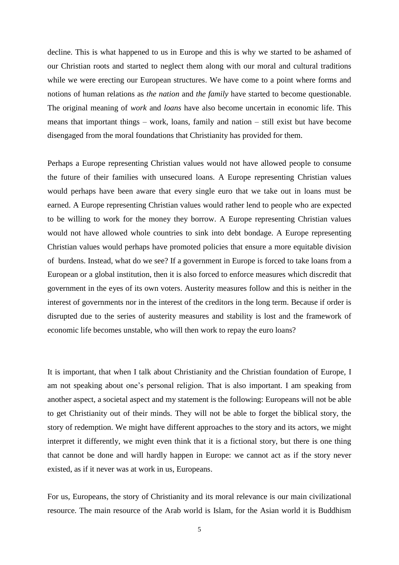decline. This is what happened to us in Europe and this is why we started to be ashamed of our Christian roots and started to neglect them along with our moral and cultural traditions while we were erecting our European structures. We have come to a point where forms and notions of human relations as *the nation* and *the family* have started to become questionable. The original meaning of *work* and *loans* have also become uncertain in economic life. This means that important things – work, loans, family and nation – still exist but have become disengaged from the moral foundations that Christianity has provided for them.

Perhaps a Europe representing Christian values would not have allowed people to consume the future of their families with unsecured loans. A Europe representing Christian values would perhaps have been aware that every single euro that we take out in loans must be earned. A Europe representing Christian values would rather lend to people who are expected to be willing to work for the money they borrow. A Europe representing Christian values would not have allowed whole countries to sink into debt bondage. A Europe representing Christian values would perhaps have promoted policies that ensure a more equitable division of burdens. Instead, what do we see? If a government in Europe is forced to take loans from a European or a global institution, then it is also forced to enforce measures which discredit that government in the eyes of its own voters. Austerity measures follow and this is neither in the interest of governments nor in the interest of the creditors in the long term. Because if order is disrupted due to the series of austerity measures and stability is lost and the framework of economic life becomes unstable, who will then work to repay the euro loans?

It is important, that when I talk about Christianity and the Christian foundation of Europe, I am not speaking about one's personal religion. That is also important. I am speaking from another aspect, a societal aspect and my statement is the following: Europeans will not be able to get Christianity out of their minds. They will not be able to forget the biblical story, the story of redemption. We might have different approaches to the story and its actors, we might interpret it differently, we might even think that it is a fictional story, but there is one thing that cannot be done and will hardly happen in Europe: we cannot act as if the story never existed, as if it never was at work in us, Europeans.

For us, Europeans, the story of Christianity and its moral relevance is our main civilizational resource. The main resource of the Arab world is Islam, for the Asian world it is Buddhism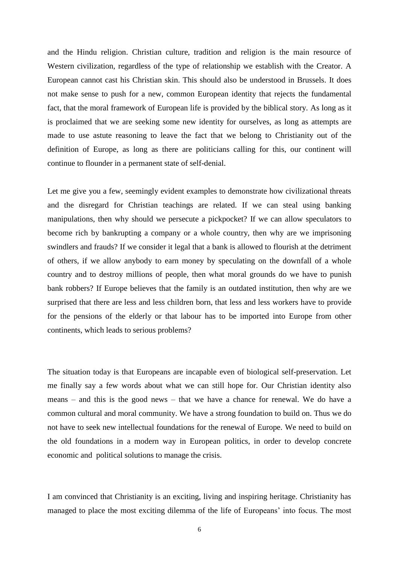and the Hindu religion. Christian culture, tradition and religion is the main resource of Western civilization, regardless of the type of relationship we establish with the Creator. A European cannot cast his Christian skin. This should also be understood in Brussels. It does not make sense to push for a new, common European identity that rejects the fundamental fact, that the moral framework of European life is provided by the biblical story. As long as it is proclaimed that we are seeking some new identity for ourselves, as long as attempts are made to use astute reasoning to leave the fact that we belong to Christianity out of the definition of Europe, as long as there are politicians calling for this, our continent will continue to flounder in a permanent state of self-denial.

Let me give you a few, seemingly evident examples to demonstrate how civilizational threats and the disregard for Christian teachings are related. If we can steal using banking manipulations, then why should we persecute a pickpocket? If we can allow speculators to become rich by bankrupting a company or a whole country, then why are we imprisoning swindlers and frauds? If we consider it legal that a bank is allowed to flourish at the detriment of others, if we allow anybody to earn money by speculating on the downfall of a whole country and to destroy millions of people, then what moral grounds do we have to punish bank robbers? If Europe believes that the family is an outdated institution, then why are we surprised that there are less and less children born, that less and less workers have to provide for the pensions of the elderly or that labour has to be imported into Europe from other continents, which leads to serious problems?

The situation today is that Europeans are incapable even of biological self-preservation. Let me finally say a few words about what we can still hope for. Our Christian identity also means – and this is the good news – that we have a chance for renewal. We do have a common cultural and moral community. We have a strong foundation to build on. Thus we do not have to seek new intellectual foundations for the renewal of Europe. We need to build on the old foundations in a modern way in European politics, in order to develop concrete economic and political solutions to manage the crisis.

I am convinced that Christianity is an exciting, living and inspiring heritage. Christianity has managed to place the most exciting dilemma of the life of Europeans' into focus. The most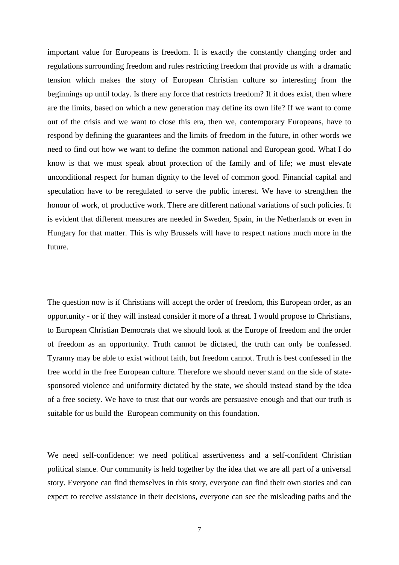important value for Europeans is freedom. It is exactly the constantly changing order and regulations surrounding freedom and rules restricting freedom that provide us with a dramatic tension which makes the story of European Christian culture so interesting from the beginnings up until today. Is there any force that restricts freedom? If it does exist, then where are the limits, based on which a new generation may define its own life? If we want to come out of the crisis and we want to close this era, then we, contemporary Europeans, have to respond by defining the guarantees and the limits of freedom in the future, in other words we need to find out how we want to define the common national and European good. What I do know is that we must speak about protection of the family and of life; we must elevate unconditional respect for human dignity to the level of common good. Financial capital and speculation have to be reregulated to serve the public interest. We have to strengthen the honour of work, of productive work. There are different national variations of such policies. It is evident that different measures are needed in Sweden, Spain, in the Netherlands or even in Hungary for that matter. This is why Brussels will have to respect nations much more in the future.

The question now is if Christians will accept the order of freedom, this European order, as an opportunity - or if they will instead consider it more of a threat. I would propose to Christians, to European Christian Democrats that we should look at the Europe of freedom and the order of freedom as an opportunity. Truth cannot be dictated, the truth can only be confessed. Tyranny may be able to exist without faith, but freedom cannot. Truth is best confessed in the free world in the free European culture. Therefore we should never stand on the side of statesponsored violence and uniformity dictated by the state, we should instead stand by the idea of a free society. We have to trust that our words are persuasive enough and that our truth is suitable for us build the European community on this foundation.

We need self-confidence: we need political assertiveness and a self-confident Christian political stance. Our community is held together by the idea that we are all part of a universal story. Everyone can find themselves in this story, everyone can find their own stories and can expect to receive assistance in their decisions, everyone can see the misleading paths and the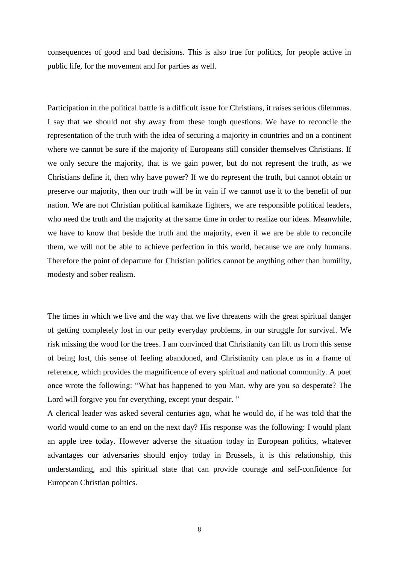consequences of good and bad decisions. This is also true for politics, for people active in public life, for the movement and for parties as well.

Participation in the political battle is a difficult issue for Christians, it raises serious dilemmas. I say that we should not shy away from these tough questions. We have to reconcile the representation of the truth with the idea of securing a majority in countries and on a continent where we cannot be sure if the majority of Europeans still consider themselves Christians. If we only secure the majority, that is we gain power, but do not represent the truth, as we Christians define it, then why have power? If we do represent the truth, but cannot obtain or preserve our majority, then our truth will be in vain if we cannot use it to the benefit of our nation. We are not Christian political kamikaze fighters, we are responsible political leaders, who need the truth and the majority at the same time in order to realize our ideas. Meanwhile, we have to know that beside the truth and the majority, even if we are be able to reconcile them, we will not be able to achieve perfection in this world, because we are only humans. Therefore the point of departure for Christian politics cannot be anything other than humility, modesty and sober realism.

The times in which we live and the way that we live threatens with the great spiritual danger of getting completely lost in our petty everyday problems, in our struggle for survival. We risk missing the wood for the trees. I am convinced that Christianity can lift us from this sense of being lost, this sense of feeling abandoned, and Christianity can place us in a frame of reference, which provides the magnificence of every spiritual and national community. A poet once wrote the following: "What has happened to you Man, why are you so desperate? The Lord will forgive you for everything, except your despair."

A clerical leader was asked several centuries ago, what he would do, if he was told that the world would come to an end on the next day? His response was the following: I would plant an apple tree today. However adverse the situation today in European politics, whatever advantages our adversaries should enjoy today in Brussels, it is this relationship, this understanding, and this spiritual state that can provide courage and self-confidence for European Christian politics.